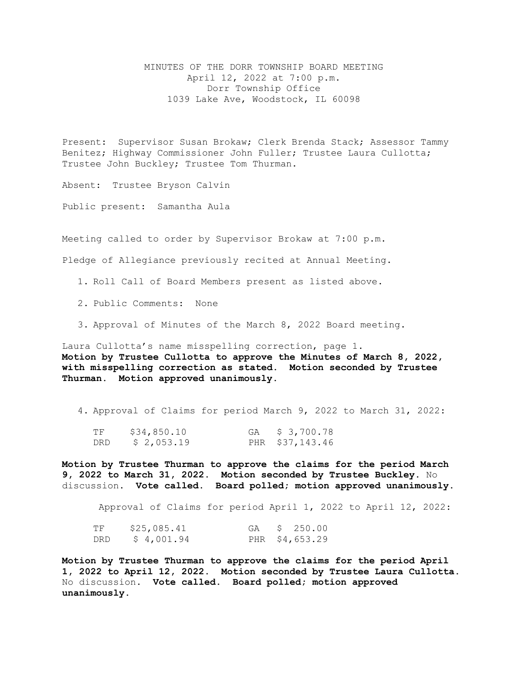MINUTES OF THE DORR TOWNSHIP BOARD MEETING April 12, 2022 at 7:00 p.m. Dorr Township Office 1039 Lake Ave, Woodstock, IL 60098

Present: Supervisor Susan Brokaw; Clerk Brenda Stack; Assessor Tammy Benitez; Highway Commissioner John Fuller; Trustee Laura Cullotta; Trustee John Buckley; Trustee Tom Thurman.

Absent: Trustee Bryson Calvin

Public present: Samantha Aula

Meeting called to order by Supervisor Brokaw at 7:00 p.m.

Pledge of Allegiance previously recited at Annual Meeting.

1. Roll Call of Board Members present as listed above.

2. Public Comments: None

3. Approval of Minutes of the March 8, 2022 Board meeting.

Laura Cullotta's name misspelling correction, page 1. **Motion by Trustee Cullotta to approve the Minutes of March 8, 2022, with misspelling correction as stated. Motion seconded by Trustee Thurman. Motion approved unanimously.** 

4. Approval of Claims for period March 9, 2022 to March 31, 2022:

| ΤF  | \$34,850.10 | GA \$ 3,700.78  |
|-----|-------------|-----------------|
| DRD | \$2,053.19  | PHR \$37,143.46 |

**Motion by Trustee Thurman to approve the claims for the period March 9, 2022 to March 31, 2022. Motion seconded by Trustee Buckley.** No discussion**. Vote called. Board polled; motion approved unanimously.**

Approval of Claims for period April 1, 2022 to April 12, 2022:

| ΤF  | \$25,085.41 |  | GA \$ 250.00   |
|-----|-------------|--|----------------|
| DRD | \$4,001.94  |  | PHR \$4,653.29 |

**Motion by Trustee Thurman to approve the claims for the period April 1, 2022 to April 12, 2022. Motion seconded by Trustee Laura Cullotta.**  No discussion**. Vote called. Board polled; motion approved unanimously.**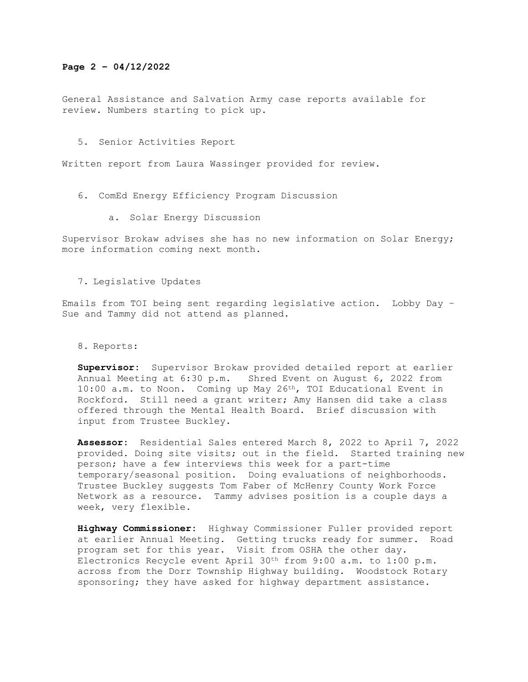## **Page 2 – 04/12/2022**

General Assistance and Salvation Army case reports available for review. Numbers starting to pick up.

5. Senior Activities Report

Written report from Laura Wassinger provided for review.

- 6. ComEd Energy Efficiency Program Discussion
	- a. Solar Energy Discussion

Supervisor Brokaw advises she has no new information on Solar Energy; more information coming next month.

## 7. Legislative Updates

Emails from TOI being sent regarding legislative action. Lobby Day – Sue and Tammy did not attend as planned.

8. Reports:

**Supervisor:** Supervisor Brokaw provided detailed report at earlier Shred Event on August 6, 2022 from  $10:00$  a.m. to Noon. Coming up May  $26<sup>th</sup>$ , TOI Educational Event in Rockford. Still need a grant writer; Amy Hansen did take a class offered through the Mental Health Board. Brief discussion with input from Trustee Buckley.

**Assessor:** Residential Sales entered March 8, 2022 to April 7, 2022 provided. Doing site visits; out in the field. Started training new person; have a few interviews this week for a part-time temporary/seasonal position. Doing evaluations of neighborhoods. Trustee Buckley suggests Tom Faber of McHenry County Work Force Network as a resource. Tammy advises position is a couple days a week, very flexible.

**Highway Commissioner:** Highway Commissioner Fuller provided report at earlier Annual Meeting. Getting trucks ready for summer. Road program set for this year. Visit from OSHA the other day. Electronics Recycle event April 30th from 9:00 a.m. to 1:00 p.m. across from the Dorr Township Highway building. Woodstock Rotary sponsoring; they have asked for highway department assistance.